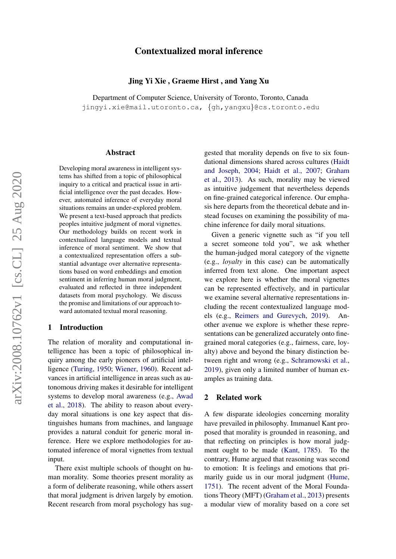# Contextualized moral inference

#### Jing Yi Xie , Graeme Hirst , and Yang Xu

Department of Computer Science, University of Toronto, Toronto, Canada jingyi.xie@mail.utoronto.ca, {gh,yangxu}@cs.toronto.edu

#### Abstract

Developing moral awareness in intelligent systems has shifted from a topic of philosophical inquiry to a critical and practical issue in artificial intelligence over the past decades. However, automated inference of everyday moral situations remains an under-explored problem. We present a text-based approach that predicts peoples intuitive judgment of moral vignettes. Our methodology builds on recent work in contextualized language models and textual inference of moral sentiment. We show that a contextualized representation offers a substantial advantage over alternative representations based on word embeddings and emotion sentiment in inferring human moral judgment, evaluated and reflected in three independent datasets from moral psychology. We discuss the promise and limitations of our approach toward automated textual moral reasoning.

#### 1 Introduction

The relation of morality and computational intelligence has been a topic of philosophical inquiry among the early pioneers of artificial intelligence [\(Turing,](#page-5-0) [1950;](#page-5-0) [Wiener,](#page-5-1) [1960\)](#page-5-1). Recent advances in artificial intelligence in areas such as autonomous driving makes it desirable for intelligent systems to develop moral awareness (e.g., [Awad](#page-4-0) [et al.,](#page-4-0) [2018\)](#page-4-0). The ability to reason about everyday moral situations is one key aspect that distinguishes humans from machines, and language provides a natural conduit for generic moral inference. Here we explore methodologies for automated inference of moral vignettes from textual input.

There exist multiple schools of thought on human morality. Some theories present morality as a form of deliberate reasoning, while others assert that moral judgment is driven largely by emotion. Recent research from moral psychology has sug-

gested that morality depends on five to six foundational dimensions shared across cultures [\(Haidt](#page-4-1) [and Joseph,](#page-4-1) [2004;](#page-4-1) [Haidt et al.,](#page-4-2) [2007;](#page-4-2) [Graham](#page-4-3) [et al.,](#page-4-3) [2013\)](#page-4-3). As such, morality may be viewed as intuitive judgement that nevertheless depends on fine-grained categorical inference. Our emphasis here departs from the theoretical debate and instead focuses on examining the possibility of machine inference for daily moral situations.

Given a generic vignette such as "if you tell a secret someone told you", we ask whether the human-judged moral category of the vignette (e.g., *loyalty* in this case) can be automatically inferred from text alone. One important aspect we explore here is whether the moral vignettes can be represented effectively, and in particular we examine several alternative representations including the recent contextualized language models (e.g., [Reimers and Gurevych,](#page-4-4) [2019\)](#page-4-4). Another avenue we explore is whether these representations can be generalized accurately onto finegrained moral categories (e.g., fairness, care, loyalty) above and beyond the binary distinction between right and wrong (e.g., [Schramowski et al.,](#page-5-2) [2019\)](#page-5-2), given only a limited number of human examples as training data.

#### 2 Related work

A few disparate ideologies concerning morality have prevailed in philosophy. Immanuel Kant proposed that morality is grounded in reasoning, and that reflecting on principles is how moral judgment ought to be made [\(Kant,](#page-4-5) [1785\)](#page-4-5). To the contrary, Hume argued that reasoning was second to emotion: It is feelings and emotions that primarily guide us in our moral judgment [\(Hume,](#page-4-6) [1751\)](#page-4-6). The recent advent of the Moral Foundations Theory (MFT) [\(Graham et al.,](#page-4-3) [2013\)](#page-4-3) presents a modular view of morality based on a core set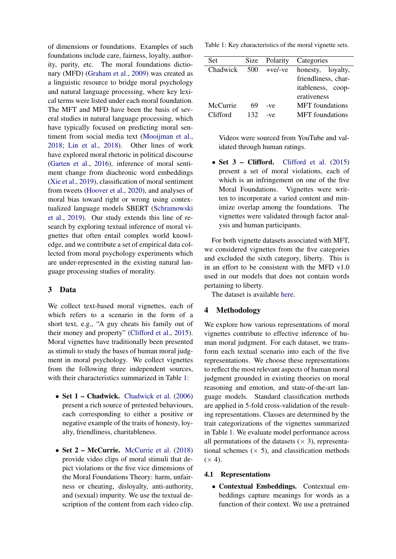of dimensions or foundations. Examples of such foundations include care, fairness, loyalty, authority, purity, etc. The moral foundations dictionary (MFD) [\(Graham et al.,](#page-4-7) [2009\)](#page-4-7) was created as a linguistic resource to bridge moral psychology and natural language processing, where key lexical terms were listed under each moral foundation. The MFT and MFD have been the basis of several studies in natural language processing, which have typically focused on predicting moral sentiment from social media text [\(Mooijman et al.,](#page-4-8) [2018;](#page-4-8) [Lin et al.,](#page-4-9) [2018\)](#page-4-9). Other lines of work have explored moral rhetoric in political discourse [\(Garten et al.,](#page-4-10) [2016\)](#page-4-10), inference of moral sentiment change from diachronic word embeddings [\(Xie et al.,](#page-5-3) [2019\)](#page-5-3), classification of moral sentiment from tweets [\(Hoover et al.,](#page-4-11) [2020\)](#page-4-11), and analyses of moral bias toward right or wrong using contextualized language models SBERT [\(Schramowski](#page-5-2) [et al.,](#page-5-2) [2019\)](#page-5-2). Our study extends this line of research by exploring textual inference of moral vignettes that often entail complex world knowledge, and we contribute a set of empirical data collected from moral psychology experiments which are under-represented in the existing natural language processing studies of morality.

# 3 Data

We collect text-based moral vignettes, each of which refers to a scenario in the form of a short text, e.g., "A guy cheats his family out of their money and property" [\(Clifford et al.,](#page-4-12) [2015\)](#page-4-12). Moral vignettes have traditionally been presented as stimuli to study the bases of human moral judgment in moral psychology. We collect vignettes from the following three independent sources, with their characteristics summarized in Table [1:](#page-1-0)

- Set 1 Chadwick. [Chadwick et al.](#page-4-13) [\(2006\)](#page-4-13) present a rich source of pretested behaviours, each corresponding to either a positive or negative example of the traits of honesty, loyalty, friendliness, charitableness.
- Set 2 McCurrie. [McCurrie et al.](#page-4-14) [\(2018\)](#page-4-14) provide video clips of moral stimuli that depict violations or the five vice dimensions of the Moral Foundations Theory: harm, unfairness or cheating, disloyalty, anti-authority, and (sexual) impurity. We use the textual description of the content from each video clip.

<span id="page-1-0"></span>Table 1: Key characteristics of the moral vignette sets.

| Set      | <b>Size</b> | Polarity  | Categories             |
|----------|-------------|-----------|------------------------|
| Chadwick | 500         | $+ve/-ve$ | honesty, loyalty,      |
|          |             |           | friendliness, char-    |
|          |             |           | itableness, coop-      |
|          |             |           | erativeness            |
| McCurrie | 69          | $-ve$     | <b>MFT</b> foundations |
| Clifford | 132         | $-ve$     | <b>MFT</b> foundations |
|          |             |           |                        |

Videos were sourced from YouTube and validated through human ratings.

• Set 3 – Clifford. [Clifford et al.](#page-4-12) [\(2015\)](#page-4-12) present a set of moral violations, each of which is an infringement on one of the five Moral Foundations. Vignettes were written to incorporate a varied content and minimize overlap among the foundations. The vignettes were validated through factor analysis and human participants.

For both vignette datasets associated with MFT, we considered vignettes from the five categories and excluded the sixth category, liberty. This is in an effort to be consistent with the MFD v1.0 used in our models that does not contain words pertaining to liberty.

The dataset is available [here.](https://github.com/xiejxie/moral-sentiment-prediction)

# 4 Methodology

We explore how various representations of moral vignettes contribute to effective inference of human moral judgment. For each dataset, we transform each textual scenario into each of the five representations. We choose these representations to reflect the most relevant aspects of human moral judgment grounded in existing theories on moral reasoning and emotion, and state-of-the-art language models. Standard classification methods are applied in 5-fold cross-validation of the resulting representations. Classes are determined by the trait categorizations of the vignettes summarized in Table [1.](#page-1-0) We evaluate model performance across all permutations of the datasets ( $\times$  3), representational schemes  $(x 5)$ , and classification methods  $(\times 4)$ .

# 4.1 Representations

• Contextual Embeddings. Contextual embeddings capture meanings for words as a function of their context. We use a pretrained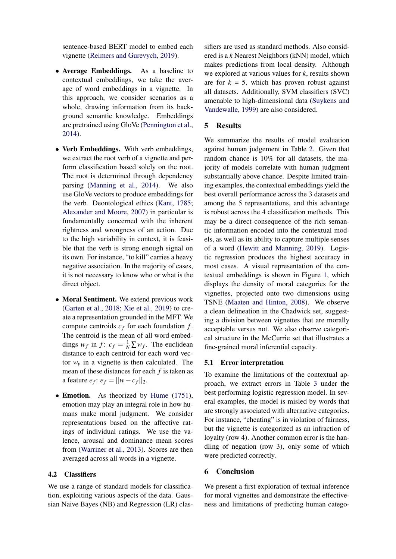sentence-based BERT model to embed each vignette [\(Reimers and Gurevych,](#page-4-4) [2019\)](#page-4-4).

- Average Embeddings. As a baseline to contextual embeddings, we take the average of word embeddings in a vignette. In this approach, we consider scenarios as a whole, drawing information from its background semantic knowledge. Embeddings are pretrained using GloVe [\(Pennington et al.,](#page-4-15) [2014\)](#page-4-15).
- Verb Embeddings. With verb embeddings, we extract the root verb of a vignette and perform classification based solely on the root. The root is determined through dependency parsing [\(Manning et al.,](#page-4-16) [2014\)](#page-4-16). We also use GloVe vectors to produce embeddings for the verb. Deontological ethics [\(Kant,](#page-4-5) [1785;](#page-4-5) [Alexander and Moore,](#page-4-17) [2007\)](#page-4-17) in particular is fundamentally concerned with the inherent rightness and wrongness of an action. Due to the high variability in context, it is feasible that the verb is strong enough signal on its own. For instance, "to kill" carries a heavy negative association. In the majority of cases, it is not necessary to know who or what is the direct object.
- Moral Sentiment. We extend previous work [\(Garten et al.,](#page-4-18) [2018;](#page-4-18) [Xie et al.,](#page-5-3) [2019\)](#page-5-3) to create a representation grounded in the MFT. We compute centroids *c<sup>f</sup>* for each foundation *f* . The centroid is the mean of all word embeddings  $w_f$  in  $f$ :  $c_f = \frac{1}{N} \sum w_f$ . The euclidean distance to each centroid for each word vector  $w<sub>v</sub>$  in a vignette is then calculated. The mean of these distances for each *f* is taken as a feature  $e_f$ :  $e_f = ||w - c_f||_2$ .
- Emotion. As theorized by [Hume](#page-4-6) [\(1751\)](#page-4-6), emotion may play an integral role in how humans make moral judgment. We consider representations based on the affective ratings of individual ratings. We use the valence, arousal and dominance mean scores from [\(Warriner et al.,](#page-5-4) [2013\)](#page-5-4). Scores are then averaged across all words in a vignette.

#### 4.2 Classifiers

We use a range of standard models for classification, exploiting various aspects of the data. Gaussian Naive Bayes (NB) and Regression (LR) clas-

sifiers are used as standard methods. Also considered is a *k* Nearest Neighbors (kNN) model, which makes predictions from local density. Although we explored at various values for *k*, results shown are for  $k = 5$ , which has proven robust against all datasets. Additionally, SVM classifiers (SVC) amenable to high-dimensional data [\(Suykens and](#page-5-5) [Vandewalle,](#page-5-5) [1999\)](#page-5-5) are also considered.

### 5 Results

We summarize the results of model evaluation against human judgement in Table [2.](#page-3-0) Given that random chance is 10% for all datasets, the majority of models correlate with human judgment substantially above chance. Despite limited training examples, the contextual embeddings yield the best overall performance across the 3 datasets and among the 5 representations, and this advantage is robust across the 4 classification methods. This may be a direct consequence of the rich semantic information encoded into the contextual models, as well as its ability to capture multiple senses of a word [\(Hewitt and Manning,](#page-4-19) [2019\)](#page-4-19). Logistic regression produces the highest accuracy in most cases. A visual representation of the contextual embeddings is shown in Figure [1,](#page-3-1) which displays the density of moral categories for the vignettes, projected onto two dimensions using TSNE [\(Maaten and Hinton,](#page-4-20) [2008\)](#page-4-20). We observe a clean delineation in the Chadwick set, suggesting a division between vignettes that are morally acceptable versus not. We also observe categorical structure in the McCurrie set that illustrates a fine-grained moral inferential capacity.

#### 5.1 Error interpretation

To examine the limitations of the contextual approach, we extract errors in Table [3](#page-3-2) under the best performing logistic regression model. In several examples, the model is misled by words that are strongly associated with alternative categories. For instance, "cheating" is in violation of fairness, but the vignette is categorized as an infraction of loyalty (row 4). Another common error is the handling of negation (row 3), only some of which were predicted correctly.

# 6 Conclusion

We present a first exploration of textual inference for moral vignettes and demonstrate the effectiveness and limitations of predicting human catego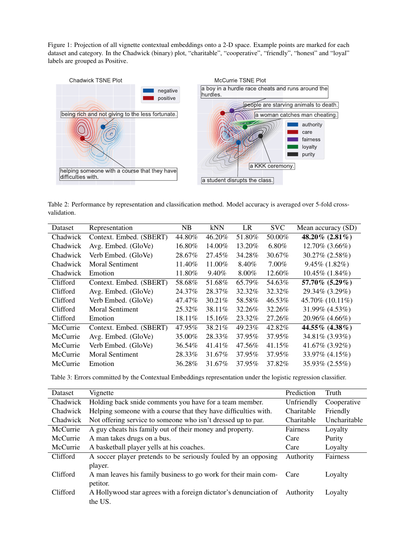<span id="page-3-1"></span>Figure 1: Projection of all vignette contextual embeddings onto a 2-D space. Example points are marked for each dataset and category. In the Chadwick (binary) plot, "charitable", "cooperative", "friendly", "honest" and "loyal" labels are grouped as Positive.



<span id="page-3-0"></span>Table 2: Performance by representation and classification method. Model accuracy is averaged over 5-fold crossvalidation.

| Dataset  | Representation          | NB      | <b>kNN</b> | LR       | <b>SVC</b> | Mean accuracy (SD)   |
|----------|-------------------------|---------|------------|----------|------------|----------------------|
| Chadwick | Context. Embed. (SBERT) | 44.80%  | 46.20%     | 51.80%   | 50.00%     | 48.20% $(2.81\%)$    |
| Chadwick | Avg. Embed. (GloVe)     | 16.80%  | 14.00%     | 13.20%   | 6.80%      | 12.70% (3.66%)       |
| Chadwick | Verb Embed. (GloVe)     | 28.67%  | 27.45%     | 34.28%   | 30.67%     | 30.27% (2.58%)       |
| Chadwick | <b>Moral Sentiment</b>  | 11.40%  | 11.00%     | 8.40%    | 7.00%      | $9.45\%$ (1.82%)     |
| Chadwick | Emotion                 | 11.80%  | 9.40%      | $8.00\%$ | 12.60%     | $10.45\%$ $(1.84\%)$ |
| Clifford | Context. Embed. (SBERT) | 58.68%  | 51.68%     | 65.79%   | 54.63%     | 57.70% (5.29%)       |
| Clifford | Avg. Embed. (GloVe)     | 24.37%  | 28.37%     | 32.32%   | 32.32%     | 29.34\% (3.29\%)     |
| Clifford | Verb Embed. (GloVe)     | 47.47%  | 30.21%     | 58.58%   | 46.53%     | 45.70% (10.11%)      |
| Clifford | <b>Moral Sentiment</b>  | 25.32\% | 38.11%     | 32.26%   | 32.26%     | 31.99% (4.53%)       |
| Clifford | Emotion                 | 18.11%  | 15.16%     | 23.32%   | 27.26\%    | 20.96% (4.66%)       |
| McCurrie | Context. Embed. (SBERT) | 47.95%  | 38.21%     | 49.23%   | 42.82%     | 44.55% (4.38%)       |
| McCurrie | Avg. Embed. (GloVe)     | 35.00%  | 28.33%     | 37.95%   | 37.95%     | 34.81\% (3.93\%)     |
| McCurrie | Verb Embed. (GloVe)     | 36.54%  | 41.41\%    | 47.56%   | 41.15%     | 41.67% $(3.92\%)$    |
| McCurrie | <b>Moral Sentiment</b>  | 28.33%  | 31.67%     | 37.95%   | 37.95%     | 33.97% (4.15%)       |
| McCurrie | Emotion                 | 36.28%  | 31.67%     | 37.95%   | 37.82\%    | 35.93% (2.55%)       |

<span id="page-3-2"></span>Table 3: Errors committed by the Contextual Embeddings representation under the logistic regression classifier.

| Dataset  | Vignette                                                          | Prediction | Truth        |
|----------|-------------------------------------------------------------------|------------|--------------|
| Chadwick | Holding back snide comments you have for a team member.           | Unfriendly | Cooperative  |
| Chadwick | Helping someone with a course that they have difficulties with.   | Charitable | Friendly     |
| Chadwick | Not offering service to someone who isn't dressed up to par.      | Charitable | Uncharitable |
| McCurrie | A guy cheats his family out of their money and property.          | Fairness   | Loyalty      |
| McCurrie | A man takes drugs on a bus.                                       | Care       | Purity       |
| McCurrie | A basketball player yells at his coaches.                         | Care       | Loyalty      |
| Clifford | A soccer player pretends to be seriously fouled by an opposing    | Authority  | Fairness     |
|          | player.                                                           |            |              |
| Clifford | A man leaves his family business to go work for their main com-   | Care       | Loyalty      |
|          | petitor.                                                          |            |              |
| Clifford | A Hollywood star agrees with a foreign dictator's denunciation of | Authority  | Loyalty      |
|          | the US.                                                           |            |              |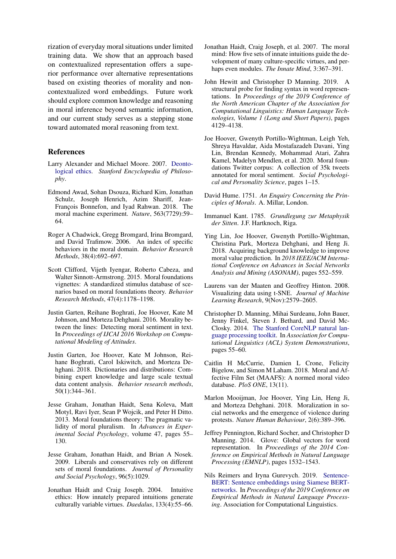rization of everyday moral situations under limited training data. We show that an approach based on contextualized representation offers a superior performance over alternative representations based on existing theories of morality and noncontextualized word embeddings. Future work should explore common knowledge and reasoning in moral inference beyond semantic information, and our current study serves as a stepping stone toward automated moral reasoning from text.

# References

- <span id="page-4-17"></span>Larry Alexander and Michael Moore. 2007. [Deonto](https://plato.stanford.edu/entries/ethics-deontological/)[logical ethics.](https://plato.stanford.edu/entries/ethics-deontological/) *Stanford Encyclopedia of Philosophy*.
- <span id="page-4-0"></span>Edmond Awad, Sohan Dsouza, Richard Kim, Jonathan Schulz, Joseph Henrich, Azim Shariff, Jean-François Bonnefon, and Iyad Rahwan. 2018. The moral machine experiment. *Nature*, 563(7729):59– 64.
- <span id="page-4-13"></span>Roger A Chadwick, Gregg Bromgard, Irina Bromgard, and David Trafimow. 2006. An index of specific behaviors in the moral domain. *Behavior Research Methods*, 38(4):692–697.
- <span id="page-4-12"></span>Scott Clifford, Vijeth Iyengar, Roberto Cabeza, and Walter Sinnott-Armstrong. 2015. Moral foundations vignettes: A standardized stimulus database of scenarios based on moral foundations theory. *Behavior Research Methods*, 47(4):1178–1198.
- <span id="page-4-10"></span>Justin Garten, Reihane Boghrati, Joe Hoover, Kate M Johnson, and Morteza Dehghani. 2016. Morality between the lines: Detecting moral sentiment in text. In *Proceedings of IJCAI 2016 Workshop on Computational Modeling of Attitudes*.
- <span id="page-4-18"></span>Justin Garten, Joe Hoover, Kate M Johnson, Reihane Boghrati, Carol Iskiwitch, and Morteza Dehghani. 2018. Dictionaries and distributions: Combining expert knowledge and large scale textual data content analysis. *Behavior research methods*, 50(1):344–361.
- <span id="page-4-3"></span>Jesse Graham, Jonathan Haidt, Sena Koleva, Matt Motyl, Ravi Iyer, Sean P Wojcik, and Peter H Ditto. 2013. Moral foundations theory: The pragmatic validity of moral pluralism. In *Advances in Experimental Social Psychology*, volume 47, pages 55– 130.
- <span id="page-4-7"></span>Jesse Graham, Jonathan Haidt, and Brian A Nosek. 2009. Liberals and conservatives rely on different sets of moral foundations. *Journal of Personality and Social Psychology*, 96(5):1029.
- <span id="page-4-1"></span>Jonathan Haidt and Craig Joseph. 2004. Intuitive ethics: How innately prepared intuitions generate culturally variable virtues. *Daedalus*, 133(4):55–66.
- <span id="page-4-2"></span>Jonathan Haidt, Craig Joseph, et al. 2007. The moral mind: How five sets of innate intuitions guide the development of many culture-specific virtues, and perhaps even modules. *The Innate Mind*, 3:367–391.
- <span id="page-4-19"></span>John Hewitt and Christopher D Manning. 2019. A structural probe for finding syntax in word representations. In *Proceedings of the 2019 Conference of the North American Chapter of the Association for Computational Linguistics: Human Language Technologies, Volume 1 (Long and Short Papers)*, pages 4129–4138.
- <span id="page-4-11"></span>Joe Hoover, Gwenyth Portillo-Wightman, Leigh Yeh, Shreya Havaldar, Aida Mostafazadeh Davani, Ying Lin, Brendan Kennedy, Mohammad Atari, Zahra Kamel, Madelyn Mendlen, et al. 2020. Moral foundations Twitter corpus: A collection of 35k tweets annotated for moral sentiment. *Social Psychological and Personality Science*, pages 1–15.
- <span id="page-4-6"></span>David Hume. 1751. *An Enquiry Concerning the Principles of Morals*. A. Millar, London.
- <span id="page-4-5"></span>Immanuel Kant. 1785. *Grundlegung zur Metaphysik der Sitten*. J.F. Hartknoch, Riga.
- <span id="page-4-9"></span>Ying Lin, Joe Hoover, Gwenyth Portillo-Wightman, Christina Park, Morteza Dehghani, and Heng Ji. 2018. Acquiring background knowledge to improve moral value prediction. In *2018 IEEE/ACM International Conference on Advances in Social Networks Analysis and Mining (ASONAM)*, pages 552–559.
- <span id="page-4-20"></span>Laurens van der Maaten and Geoffrey Hinton. 2008. Visualizing data using t-SNE. *Journal of Machine Learning Research*, 9(Nov):2579–2605.
- <span id="page-4-16"></span>Christopher D. Manning, Mihai Surdeanu, John Bauer, Jenny Finkel, Steven J. Bethard, and David Mc-Closky. 2014. [The Stanford CoreNLP natural lan](http://www.aclweb.org/anthology/P/P14/P14-5010)[guage processing toolkit.](http://www.aclweb.org/anthology/P/P14/P14-5010) In *Association for Computational Linguistics (ACL) System Demonstrations*, pages 55–60.
- <span id="page-4-14"></span>Caitlin H McCurrie, Damien L Crone, Felicity Bigelow, and Simon M Laham. 2018. Moral and Affective Film Set (MAAFS): A normed moral video database. *PloS ONE*, 13(11).
- <span id="page-4-8"></span>Marlon Mooijman, Joe Hoover, Ying Lin, Heng Ji, and Morteza Dehghani. 2018. Moralization in social networks and the emergence of violence during protests. *Nature Human Behaviour*, 2(6):389–396.
- <span id="page-4-15"></span>Jeffrey Pennington, Richard Socher, and Christopher D Manning. 2014. Glove: Global vectors for word representation. In *Proceedings of the 2014 Conference on Empirical Methods in Natural Language Processing (EMNLP)*, pages 1532–1543.
- <span id="page-4-4"></span>Nils Reimers and Iryna Gurevych. 2019. [Sentence-](http://arxiv.org/abs/1908.10084)[BERT: Sentence embeddings using Siamese BERT](http://arxiv.org/abs/1908.10084)[networks.](http://arxiv.org/abs/1908.10084) In *Proceedings of the 2019 Conference on Empirical Methods in Natural Language Processing*. Association for Computational Linguistics.